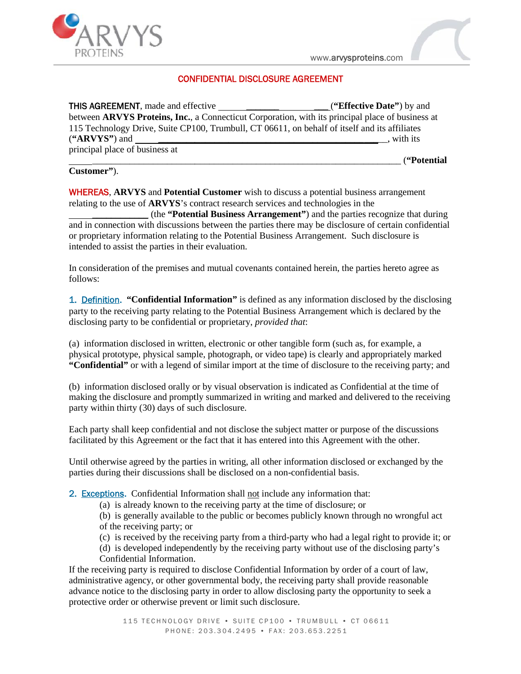

## **CONFIDENTIAL DISCLOSURE AGREEMENT**

| 115 Technology Drive, Suite CP100, Trumbull, CT 06611, on behalf of itself and its affiliates                                                                                                                                                                                                                                                                                                                                                                                                                                               |  |
|---------------------------------------------------------------------------------------------------------------------------------------------------------------------------------------------------------------------------------------------------------------------------------------------------------------------------------------------------------------------------------------------------------------------------------------------------------------------------------------------------------------------------------------------|--|
| $(*ARVYS")$ and<br>, with its                                                                                                                                                                                                                                                                                                                                                                                                                                                                                                               |  |
| principal place of business at<br>("Potential                                                                                                                                                                                                                                                                                                                                                                                                                                                                                               |  |
| Customer").                                                                                                                                                                                                                                                                                                                                                                                                                                                                                                                                 |  |
| <b>WHEREAS, ARVYS</b> and <b>Potential Customer</b> wish to discuss a potential business arrangement<br>relating to the use of ARVYS's contract research services and technologies in the<br>(the "Potential Business Arrangement") and the parties recognize that during<br>and in connection with discussions between the parties there may be disclosure of certain confidential<br>or proprietary information relating to the Potential Business Arrangement. Such disclosure is<br>intended to assist the parties in their evaluation. |  |
| In consideration of the premises and mutual covenants contained herein, the parties hereto agree as<br>follows:                                                                                                                                                                                                                                                                                                                                                                                                                             |  |
| 1. Definition. "Confidential Information" is defined as any information disclosed by the disclosing<br>party to the receiving party relating to the Potential Business Arrangement which is declared by the<br>disclosing party to be confidential or proprietary, provided that:                                                                                                                                                                                                                                                           |  |
| (a) information disclosed in written, electronic or other tangible form (such as, for example, a<br>physical prototype, physical sample, photograph, or video tape) is clearly and appropriately marked<br>"Confidential" or with a legend of similar import at the time of disclosure to the receiving party; and                                                                                                                                                                                                                          |  |
| (b) information disclosed orally or by visual observation is indicated as Confidential at the time of<br>making the disclosure and promptly summarized in writing and marked and delivered to the receiving<br>party within thirty (30) days of such disclosure.                                                                                                                                                                                                                                                                            |  |
| Each party shall keep confidential and not disclose the subject matter or purpose of the discussions<br>facilitated by this Agreement or the fact that it has entered into this Agreement with the other.                                                                                                                                                                                                                                                                                                                                   |  |
| Until otherwise agreed by the parties in writing, all other information disclosed or exchanged by the<br>parties during their discussions shall be disclosed on a non-confidential basis.                                                                                                                                                                                                                                                                                                                                                   |  |
| 2. Exceptions. Confidential Information shall not include any information that:                                                                                                                                                                                                                                                                                                                                                                                                                                                             |  |
| (a) is already known to the receiving party at the time of disclosure; or<br>(b) is generally available to the public or becomes publicly known through no wrongful act<br>of the receiving party; or                                                                                                                                                                                                                                                                                                                                       |  |
| (c) is received by the receiving party from a third-party who had a legal right to provide it; or<br>(d) is developed independently by the receiving party without use of the disclosing party's<br>Confidential Information.                                                                                                                                                                                                                                                                                                               |  |
| If the receiving party is required to disclose Confidential Information by order of a court of law,<br>administrative agency, or other governmental body, the receiving party shall provide reasonable<br>advance notice to the disclosing party in order to allow disclosing party the opportunity to seek a<br>protective order or otherwise prevent or limit such disclosure.                                                                                                                                                            |  |
| 115 TECHNOLOGY DRIVE . SUITE CP100 . TRUMBULL . CT 06611<br>PHONE: 203.304.2495 · FAX: 203.653.2251                                                                                                                                                                                                                                                                                                                                                                                                                                         |  |

## **Customer"**).

- (c) is received by the receiving party from a third-party who had a legal right to provide it; or
- (d) is developed independently by the receiving party without use of the disclosing party's Confidential Information.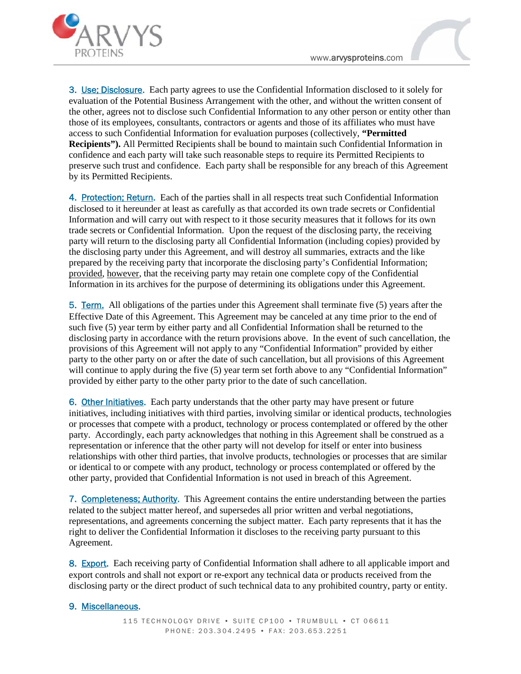

**3. Use; Disclosure.** Each party agrees to use the Confidential Information disclosed to it solely for evaluation of the Potential Business Arrangement with the other, and without the written consent of the other, agrees not to disclose such Confidential Information to any other person or entity other than those of its employees, consultants, contractors or agents and those of its affiliates who must have access to such Confidential Information for evaluation purposes (collectively, **"Permitted Recipients").** All Permitted Recipients shall be bound to maintain such Confidential Information in confidence and each party will take such reasonable steps to require its Permitted Recipients to preserve such trust and confidence. Each party shall be responsible for any breach of this Agreement by its Permitted Recipients. 3. Line: Districted particle and to the particle of the functional difformation districts in itself; the method in the section of the November of the Method in the section of the November of the content of the content of

**4. Protection; Return.** Each of the parties shall in all respects treat such Confidential Information disclosed to it hereunder at least as carefully as that accorded its own trade secrets or Confidential Information and will carry out with respect to it those security measures that it follows for its own trade secrets or Confidential Information. Upon the request of the disclosing party, the receiving party will return to the disclosing party all Confidential Information (including copies) provided by the disclosing party under this Agreement, and will destroy all summaries, extracts and the like prepared by the receiving party that incorporate the disclosing party's Confidential Information; provided, however, that the receiving party may retain one complete copy of the Confidential Information in its archives for the purpose of determining its obligations under this Agreement. elene and each party will take such reasonable steps to require<br>there and each party will take such reasonable steps to require<br>Permitted Recipients.<br>The party shall be responsible<br>Fermitted Recipients.<br>The party shall in

**5. Term.** All obligations of the parties under this Agreement shall terminate five (5) years after the Effective Date of this Agreement. This Agreement may be canceled at any time prior to the end of such five (5) year term by either party and all Confidential Information shall be returned to the such five (5) year term by either party and all Confidential Information shall be returned to the<br>disclosing party in accordance with the return provisions above. In the event of such cancellation, the provisions of this Agreement will not apply to any "Confidential Information" provided by either party to the other party on or after the date of such cancellation, but all provisions of this Agreement party to the other party on or after the date of such cancellation, but all provisions of this Agreement<br>will continue to apply during the five (5) year term set forth above to any "Confidential Information" provided by either party to the other party prior to the date of such cancellation.

6. Other Initiatives. Each party understands that the other party may have present or future initiatives, including initiatives with third parties, involving similar or identical products, technologies or processes that compete with a product, technology or process contemplated or offered by the other party. Accordingly, each party acknowledges that nothing in this Agreement shall be construed as a representation or inference that the other party will not develop for itself or enter into business relationships with other third parties, that involve products, technologies or processes that are similar or identical to or compete with any product, technology or process contemplated or offered by the relationships with other third parties, that involve products, technologies or processes that are si<br>or identical to or compete with any product, technology or process contemplated or offered by th<br>other party, provided th with a product, technology or process contemplated or offered by the other<br>party acknowledges that nothing in this Agreement shall be construed as a<br>ethat the other party will not develop for itself or enter into business

**7.** Completeness; Authority. This Agreement contains the entire understanding between the parties related to the subject matter hereof, and supersedes all prior written and verbal negotiations, representations, and agreem related to the subject matter hereof, and supersedes all prior written and verbal negotiations, representations, and agreements concerning the subject matter. Each party represents that it has the right to deliver the Confidential Information it discloses to the receiving party pursuant to this Agreement.

8. Export. Each receiving party of Confidential Information shall adhere to all applicable import and<br>export controls and shall not export or re-export any technical data or products received from the export controls and shall not export or re-export any technical data or products received from the

## **9. Miscellaneous.**